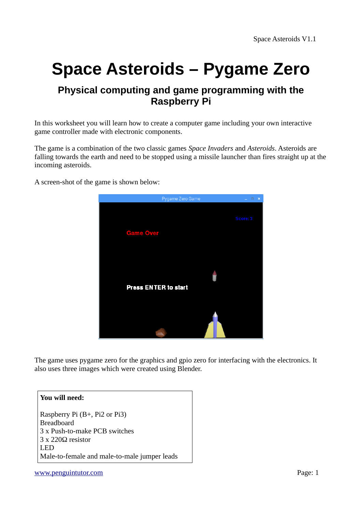# **Space Asteroids – Pygame Zero**

## **Physical computing and game programming with the Raspberry Pi**

In this worksheet you will learn how to create a computer game including your own interactive game controller made with electronic components.

The game is a combination of the two classic games *Space Invaders* and *Asteroids*. Asteroids are falling towards the earth and need to be stopped using a missile launcher than fires straight up at the incoming asteroids.

A screen-shot of the game is shown below:



The game uses pygame zero for the graphics and gpio zero for interfacing with the electronics. It also uses three images which were created using Blender.

#### **You will need:**

Raspberry Pi (B+, Pi2 or Pi3) Breadboard 3 x Push-to-make PCB switches 3 x 220Ω resistor LED Male-to-female and male-to-male jumper leads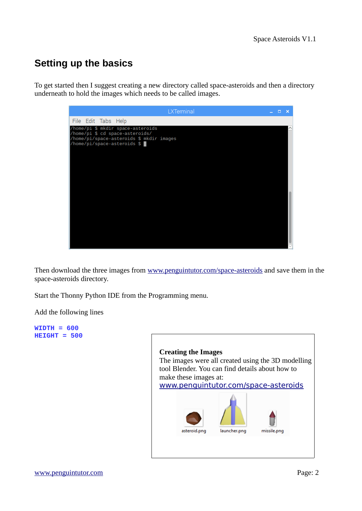# **Setting up the basics**

To get started then I suggest creating a new directory called space-asteroids and then a directory underneath to hold the images which needs to be called images.



Then download the three images from [www.penguintutor.com/space-asteroids](http://www.penguintutor.com/space-asteroids) and save them in the space-asteroids directory.

Start the Thonny Python IDE from the Programming menu.

Add the following lines

**WIDTH = 600 HEIGHT = 500**

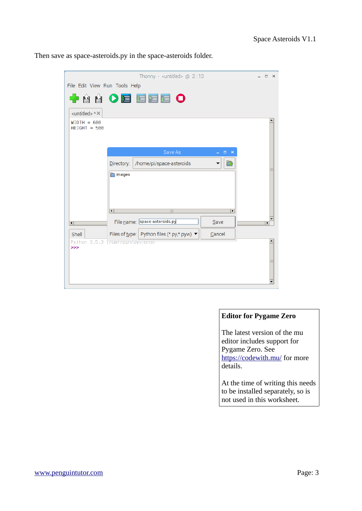Then save as space-asteroids.py in the space-asteroids folder.

|                                             | Thonny - <untitled> <math>@ 2:13</math></untitled>   | $\Box$<br>$\times$ |  |
|---------------------------------------------|------------------------------------------------------|--------------------|--|
| File Edit View Run Tools Help               |                                                      |                    |  |
|                                             | + 4 4 0 d d d d o                                    |                    |  |
| <untitled> * <math>\times</math></untitled> |                                                      |                    |  |
| $WIDTH = 600$<br>$HEIGHT = 500$             |                                                      |                    |  |
|                                             | Save As<br>– □ ×                                     |                    |  |
|                                             | /home/pi/space-asteroids<br>砕<br>Directory:<br>▼     |                    |  |
|                                             | images                                               |                    |  |
| $\overline{\mathbf{R}}$                     | ¥                                                    |                    |  |
| $\vert \vert$                               | File name: space-asteroids.py<br>Save                | ¥                  |  |
| Shell                                       | Files of type: Python files (*.py,*.pyw) ▼<br>Cancel |                    |  |
| Python 3.5.3 (7usr7pin7python3)<br>>>       |                                                      |                    |  |

#### **Editor for Pygame Zero**

The latest version of the mu editor includes support for Pygame Zero. See <https://codewith.mu/>for more details.

At the time of writing this needs to be installed separately, so is not used in this worksheet.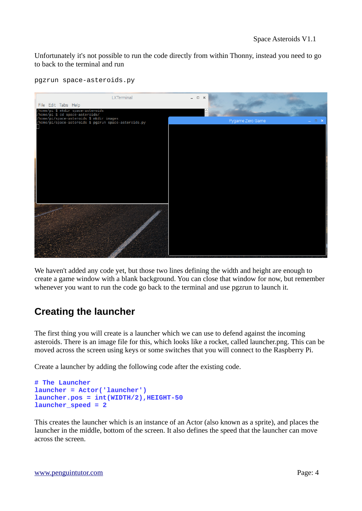Unfortunately it's not possible to run the code directly from within Thonny, instead you need to go to back to the terminal and run

| LXTerminal                                                                                                                                                                | $  \times$                    |
|---------------------------------------------------------------------------------------------------------------------------------------------------------------------------|-------------------------------|
| File Edit Tabs Help                                                                                                                                                       |                               |
| /home/pi \$ mkdir space-asteroids<br>/home/pi \$ cd space-asteroids/<br>/home/pi/space-asteroids \$ mkdir images<br>/home/pi/space-asteroids \$ pgzrun space-asteroids.py |                               |
|                                                                                                                                                                           | Pygame Zero Game<br>$-$ 0 $x$ |
|                                                                                                                                                                           |                               |
|                                                                                                                                                                           |                               |
|                                                                                                                                                                           |                               |
|                                                                                                                                                                           |                               |
|                                                                                                                                                                           |                               |
|                                                                                                                                                                           |                               |
|                                                                                                                                                                           |                               |
|                                                                                                                                                                           |                               |
|                                                                                                                                                                           |                               |
|                                                                                                                                                                           |                               |
|                                                                                                                                                                           |                               |
|                                                                                                                                                                           |                               |
|                                                                                                                                                                           |                               |
|                                                                                                                                                                           |                               |
|                                                                                                                                                                           |                               |

pgzrun space-asteroids.py

We haven't added any code yet, but those two lines defining the width and height are enough to create a game window with a blank background. You can close that window for now, but remember whenever you want to run the code go back to the terminal and use pgzrun to launch it.

# **Creating the launcher**

The first thing you will create is a launcher which we can use to defend against the incoming asteroids. There is an image file for this, which looks like a rocket, called launcher.png. This can be moved across the screen using keys or some switches that you will connect to the Raspberry Pi.

Create a launcher by adding the following code after the existing code.

```
# The Launcher
launcher = Actor('launcher')
launcher.pos = int(WIDTH/2),HEIGHT-50
launcher_speed = 2
```
This creates the launcher which is an instance of an Actor (also known as a sprite), and places the launcher in the middle, bottom of the screen. It also defines the speed that the launcher can move across the screen.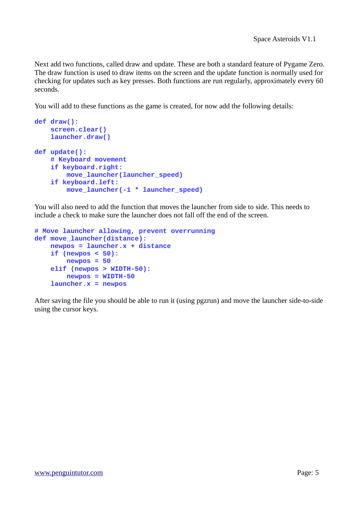Next add two functions, called draw and update. These are both a standard feature of Pygame Zero. The draw function is used to draw items on the screen and the update function is normally used for checking for updates such as key presses. Both functions are run regularly, approximately every 60 seconds.

You will add to these functions as the game is created, for now add the following details:

```
def draw():
     screen.clear()
     launcher.draw()
def update():
     # Keyboard movement
     if keyboard.right:
         move_launcher(launcher_speed)
     if keyboard.left:
         move_launcher(-1 * launcher_speed)
```
You will also need to add the function that moves the launcher from side to side. This needs to include a check to make sure the launcher does not fall off the end of the screen.

```
# Move launcher allowing, prevent overrunning
def move_launcher(distance):
     newpos = launcher.x + distance
     if (newpos < 50):
         newpos = 50
     elif (newpos > WIDTH-50):
         newpos = WIDTH-50
     launcher.x = newpos
```
After saving the file you should be able to run it (using pgzrun) and move the launcher side-to-side using the cursor keys.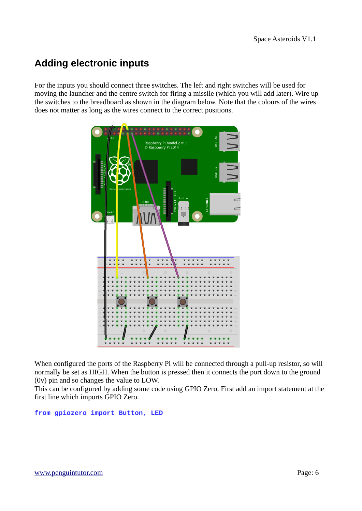# **Adding electronic inputs**

For the inputs you should connect three switches. The left and right switches will be used for moving the launcher and the centre switch for firing a missile (which you will add later). Wire up the switches to the breadboard as shown in the diagram below. Note that the colours of the wires does not matter as long as the wires connect to the correct positions.



When configured the ports of the Raspberry Pi will be connected through a pull-up resistor, so will normally be set as HIGH. When the button is pressed then it connects the port down to the ground (0v) pin and so changes the value to LOW.

This can be configured by adding some code using GPIO Zero. First add an import statement at the first line which imports GPIO Zero.

#### **from gpiozero import Button, LED**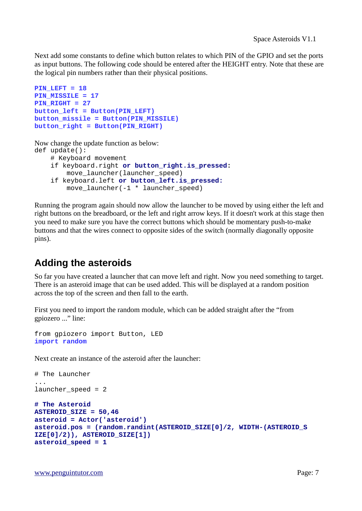Next add some constants to define which button relates to which PIN of the GPIO and set the ports as input buttons. The following code should be entered after the HEIGHT entry. Note that these are the logical pin numbers rather than their physical positions.

```
PIN_LEFT = 18
PIN_MISSILE = 17
PIN_RIGHT = 27 
button_left = Button(PIN_LEFT)
button_missile = Button(PIN_MISSILE)
button_right = Button(PIN_RIGHT)
```
Now change the update function as below:

```
def update():
     # Keyboard movement
     if keyboard.right or button_right.is_pressed:
         move_launcher(launcher_speed)
     if keyboard.left or button_left.is_pressed:
         move_launcher(-1 * launcher_speed)
```
Running the program again should now allow the launcher to be moved by using either the left and right buttons on the breadboard, or the left and right arrow keys. If it doesn't work at this stage then you need to make sure you have the correct buttons which should be momentary push-to-make buttons and that the wires connect to opposite sides of the switch (normally diagonally opposite pins).

# **Adding the asteroids**

So far you have created a launcher that can move left and right. Now you need something to target. There is an asteroid image that can be used added. This will be displayed at a random position across the top of the screen and then fall to the earth.

First you need to import the random module, which can be added straight after the "from gpiozero ..." line:

```
from gpiozero import Button, LED
import random
```
Next create an instance of the asteroid after the launcher:

# The Launcher

...

```
launcher speed = 2
```

```
# The Asteroid 
ASTEROID_SIZE = 50,46
asteroid = Actor('asteroid') 
asteroid.pos = (random.randint(ASTEROID_SIZE[0]/2, WIDTH-(ASTEROID_S
IZE[0]/2)), ASTEROID_SIZE[1]) 
asteroid_speed = 1
```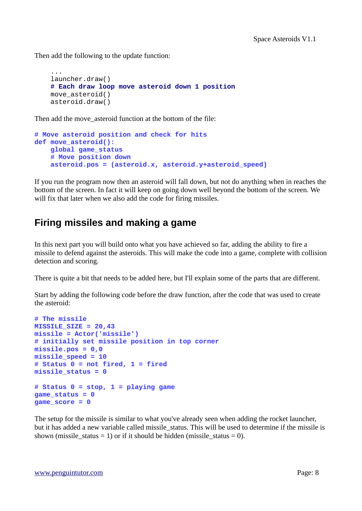Then add the following to the update function:

```
 ...
 launcher.draw()
 # Each draw loop move asteroid down 1 position
 move_asteroid()
 asteroid.draw()
```
Then add the move asteroid function at the bottom of the file:

```
# Move asteroid position and check for hits
def move_asteroid():
     global game_status
     # Move position down 
     asteroid.pos = (asteroid.x, asteroid.y+asteroid_speed)
```
If you run the program now then an asteroid will fall down, but not do anything when in reaches the bottom of the screen. In fact it will keep on going down well beyond the bottom of the screen. We will fix that later when we also add the code for firing missiles.

# **Firing missiles and making a game**

In this next part you will build onto what you have achieved so far, adding the ability to fire a missile to defend against the asteroids. This will make the code into a game, complete with collision detection and scoring.

There is quite a bit that needs to be added here, but I'll explain some of the parts that are different.

Start by adding the following code before the draw function, after the code that was used to create the asteroid:

```
# The missile
MISSILE_SIZE = 20,43
missile = Actor('missile')
# initially set missile position in top corner
missile.pos = 0,0
missile_speed = 10
# Status 0 = not fired, 1 = fired
missile_status = 0
# Status 0 = stop, 1 = playing game
game_status = 0
game_score = 0
```
The setup for the missile is similar to what you've already seen when adding the rocket launcher, but it has added a new variable called missile\_status. This will be used to determine if the missile is shown (missile status = 1) or if it should be hidden (missile status = 0).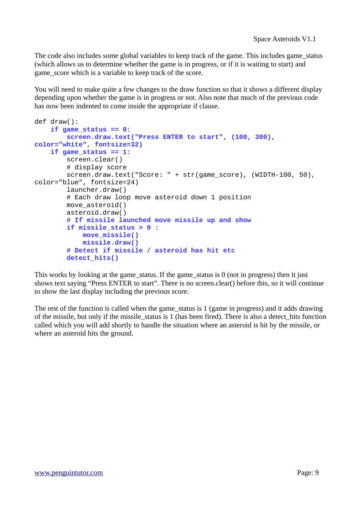The code also includes some global variables to keep track of the game. This includes game\_status (which allows us to determine whether the game is in progress, or if it is waiting to start) and game score which is a variable to keep track of the score.

You will need to make quite a few changes to the draw function so that it shows a different display depending upon whether the game is in progress or not. Also note that much of the previous code has now been indented to come inside the appropriate if clause.

```
def draw():
     if game_status == 0:
         screen.draw.text("Press ENTER to start", (100, 300), 
color="white", fontsize=32)
    if game status == 1:
         screen.clear()
         # display score
         screen.draw.text("Score: " + str(game_score), (WIDTH-100, 50), 
color="blue", fontsize=24)
         launcher.draw()
         # Each draw loop move asteroid down 1 position
         move_asteroid()
         asteroid.draw()
         # If missile launched move missile up and show
         if missile_status > 0 :
             move_missile()
             missile.draw()
         # Detect if missile / asteroid has hit etc
         detect_hits()
```
This works by looking at the game\_status. If the game\_status is 0 (not in progress) then it just shows text saying "Press ENTER to start". There is no screen.clear() before this, so it will continue to show the last display including the previous score.

The rest of the function is called when the game\_status is 1 (game in progress) and it adds drawing of the missile, but only if the missile\_status is 1 (has been fired). There is also a detect\_hits function called which you will add shortly to handle the situation where an asteroid is hit by the missile, or where an asteroid hits the ground.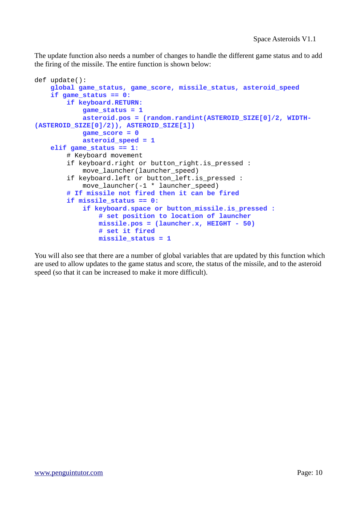The update function also needs a number of changes to handle the different game status and to add the firing of the missile. The entire function is shown below:

```
def update():
     global game_status, game_score, missile_status, asteroid_speed
     if game_status == 0:
         if keyboard.RETURN:
             game_status = 1
             asteroid.pos = (random.randint(ASTEROID_SIZE[0]/2, WIDTH-
(ASTEROID_SIZE[0]/2)), ASTEROID_SIZE[1])
             game_score = 0
             asteroid_speed = 1
     elif game_status == 1:
         # Keyboard movement
         if keyboard.right or button_right.is_pressed :
             move_launcher(launcher_speed)
         if keyboard.left or button_left.is_pressed :
            move launcher(-1 * launcher speed)
         # If missile not fired then it can be fired
         if missile_status == 0:
             if keyboard.space or button_missile.is_pressed :
                 # set position to location of launcher
                 missile.pos = (launcher.x, HEIGHT - 50)
                 # set it fired
                 missile_status = 1
```
You will also see that there are a number of global variables that are updated by this function which are used to allow updates to the game status and score, the status of the missile, and to the asteroid speed (so that it can be increased to make it more difficult).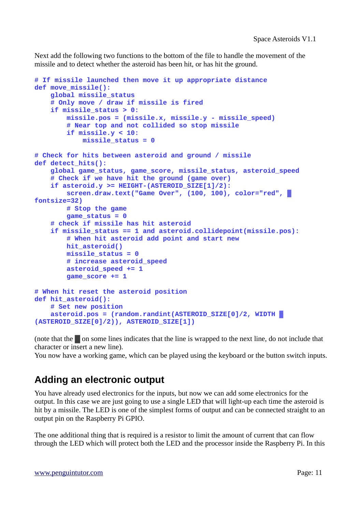Next add the following two functions to the bottom of the file to handle the movement of the missile and to detect whether the asteroid has been hit, or has hit the ground.

```
# If missile launched then move it up appropriate distance 
def move_missile():
     global missile_status
     # Only move / draw if missile is fired
     if missile_status > 0:
         missile.pos = (missile.x, missile.y - missile_speed)
         # Near top and not collided so stop missile
         if missile.y < 10:
             missile_status = 0
# Check for hits between asteroid and ground / missile
def detect_hits():
     global game_status, game_score, missile_status, asteroid_speed
     # Check if we have hit the ground (game over)
     if asteroid.y >= HEIGHT-(ASTEROID_SIZE[1]/2):
         screen.draw.text("Game Over", (100, 100), color="red", ▓
fontsize=32)
         # Stop the game
         game_status = 0
     # check if missile has hit asteroid
     if missile_status == 1 and asteroid.collidepoint(missile.pos):
         # When hit asteroid add point and start new
         hit_asteroid()
         missile_status = 0
         # increase asteroid_speed
         asteroid_speed += 1
         game_score += 1
# When hit reset the asteroid position
def hit_asteroid():
     # Set new position
     asteroid.pos = (random.randint(ASTEROID_SIZE[0]/2, WIDTH ▓ 
(ASTEROID_SIZE[0]/2)), ASTEROID_SIZE[1])
```
(note that the ▓ on some lines indicates that the line is wrapped to the next line, do not include that character or insert a new line).

You now have a working game, which can be played using the keyboard or the button switch inputs.

### **Adding an electronic output**

You have already used electronics for the inputs, but now we can add some electronics for the output. In this case we are just going to use a single LED that will light-up each time the asteroid is hit by a missile. The LED is one of the simplest forms of output and can be connected straight to an output pin on the Raspberry Pi GPIO.

The one additional thing that is required is a resistor to limit the amount of current that can flow through the LED which will protect both the LED and the processor inside the Raspberry Pi. In this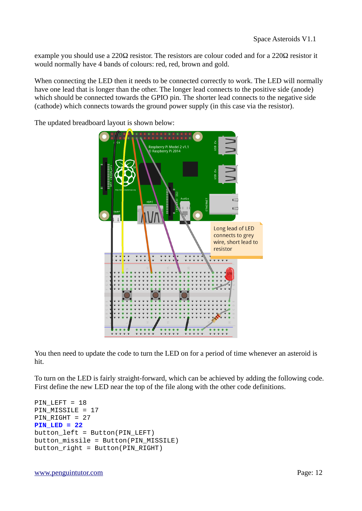example you should use a 220Ω resistor. The resistors are colour coded and for a 220Ω resistor it would normally have 4 bands of colours: red, red, brown and gold.

When connecting the LED then it needs to be connected correctly to work. The LED will normally have one lead that is longer than the other. The longer lead connects to the positive side (anode) which should be connected towards the GPIO pin. The shorter lead connects to the negative side (cathode) which connects towards the ground power supply (in this case via the resistor).

The updated breadboard layout is shown below:



You then need to update the code to turn the LED on for a period of time whenever an asteroid is hit.

To turn on the LED is fairly straight-forward, which can be achieved by adding the following code. First define the new LED near the top of the file along with the other code definitions.

```
PIN_LEFT = 18 
PIN_MISSILE = 17
PIN_RIGHT = 27 
PIN_LED = 22 
button_left = Button(PIN_LEFT) 
button_missile = Button(PIN_MISSILE) 
button_right = Button(PIN_RIGHT)
```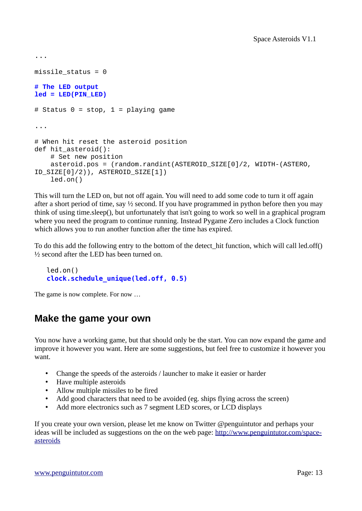```
...
missile_status = 0 
# The LED output 
led = LED(PIN_LED) 
# Status 0 = stop, 1 = playing game
...
# When hit reset the asteroid position 
def hit_asteroid(): 
     # Set new position
     asteroid.pos = (random.randint(ASTEROID_SIZE[0]/2, WIDTH-(ASTERO, 
ID_SIZE[0]/2)), ASTEROID_SIZE[1]) 
     led.on()
```
This will turn the LED on, but not off again. You will need to add some code to turn it off again after a short period of time, say  $\frac{1}{2}$  second. If you have programmed in python before then you may think of using time.sleep(), but unfortunately that isn't going to work so well in a graphical program where you need the program to continue running. Instead Pygame Zero includes a Clock function which allows you to run another function after the time has expired.

To do this add the following entry to the bottom of the detect\_hit function, which will call led.off() ½ second after the LED has been turned on.

```
led.on() 
 clock.schedule_unique(led.off, 0.5)
```
The game is now complete. For now …

### **Make the game your own**

You now have a working game, but that should only be the start. You can now expand the game and improve it however you want. Here are some suggestions, but feel free to customize it however you want.

- Change the speeds of the asteroids / launcher to make it easier or harder
- Have multiple asteroids
- Allow multiple missiles to be fired
- Add good characters that need to be avoided (eg. ships flying across the screen)
- Add more electronics such as 7 segment LED scores, or LCD displays

If you create your own version, please let me know on Twitter @penguintutor and perhaps your ideas will be included as suggestions on the on the web page: [http://www.penguintutor.com/space](http://www.penguintutor.com/space-asteroids)[asteroids](http://www.penguintutor.com/space-asteroids)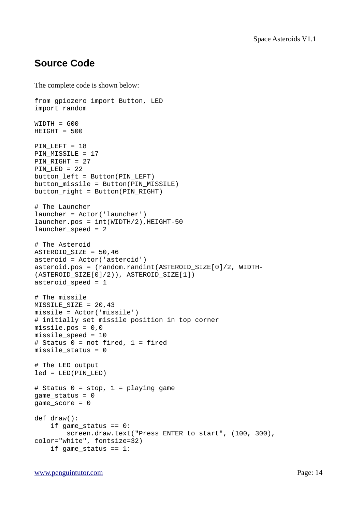## **Source Code**

The complete code is shown below:

from gpiozero import Button, LED import random WIDTH = 600  $HEIGHT = 500$ PIN LEFT = 18 PIN\_MISSILE = 17 PIN\_RIGHT = 27 PIN LED =  $22$ button\_left = Button(PIN\_LEFT) button\_missile = Button(PIN\_MISSILE) button\_right = Button(PIN\_RIGHT) # The Launcher launcher = Actor('launcher')  $l$ auncher.pos =  $int(WIDTH/2)$ , HEIGHT-50  $l$ auncher speed = 2 # The Asteroid ASTEROID\_SIZE = 50,46 asteroid = Actor('asteroid') asteroid.pos = (random.randint(ASTEROID\_SIZE[0]/2, WIDTH- (ASTEROID\_SIZE[0]/2)), ASTEROID\_SIZE[1]) asteroid\_speed =  $1$ # The missile MISSILE\_SIZE = 20,43 missile = Actor('missile') # initially set missile position in top corner missile.pos =  $0,0$ missile\_speed = 10 # Status  $0 = not$  fired,  $1 = fixed$  $missile\_status = 0$ # The LED output  $led = LED(PINLED)$ # Status  $0 = stop$ ,  $1 = playing$  game  $game_status = 0$  $game\_score = 0$ def draw(): if game\_status  $== 0$ : screen.draw.text("Press ENTER to start", (100, 300), color="white", fontsize=32) if game\_status  $== 1$ :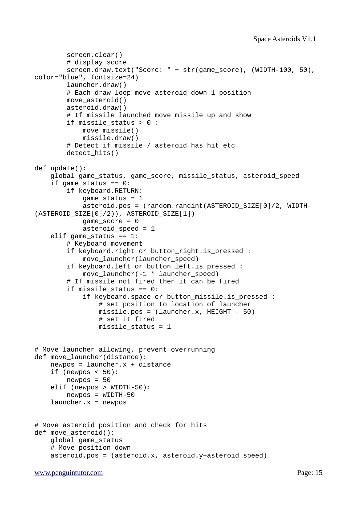```
 screen.clear()
         # display score
         screen.draw.text("Score: " + str(game_score), (WIDTH-100, 50), 
color="blue", fontsize=24)
         launcher.draw()
         # Each draw loop move asteroid down 1 position
         move_asteroid()
         asteroid.draw()
         # If missile launched move missile up and show
         if missile_status > 0 :
            move missile()
             missile.draw()
         # Detect if missile / asteroid has hit etc
         detect_hits()
def update():
     global game_status, game_score, missile_status, asteroid_speed
    if game status == 0:
         if keyboard.RETURN:
            game_status = 1 asteroid.pos = (random.randint(ASTEROID_SIZE[0]/2, WIDTH-
(ASTEROID_SIZE[0]/2)), ASTEROID_SIZE[1])
            qame_score = 0asteroid_speed = 1 elif game_status == 1:
         # Keyboard movement
         if keyboard.right or button_right.is_pressed :
             move_launcher(launcher_speed)
         if keyboard.left or button_left.is_pressed :
             move_launcher(-1 * launcher_speed)
         # If missile not fired then it can be fired
        if missile status == 0:
             if keyboard.space or button_missile.is_pressed :
                 # set position to location of launcher
                 missile.pos = (launcher.x, HEIGHT - 50)
                 # set it fired
                missile status = 1# Move launcher allowing, prevent overrunning
def move_launcher(distance):
    newpos = launcher.x + distanceif (newpos < 50):
        newpos = 50 elif (newpos > WIDTH-50):
        newpos = WIDTH-50launcher.x = newpos
# Move asteroid position and check for hits
def move_asteroid():
     global game_status
     # Move position down 
     asteroid.pos = (asteroid.x, asteroid.y+asteroid_speed)
```